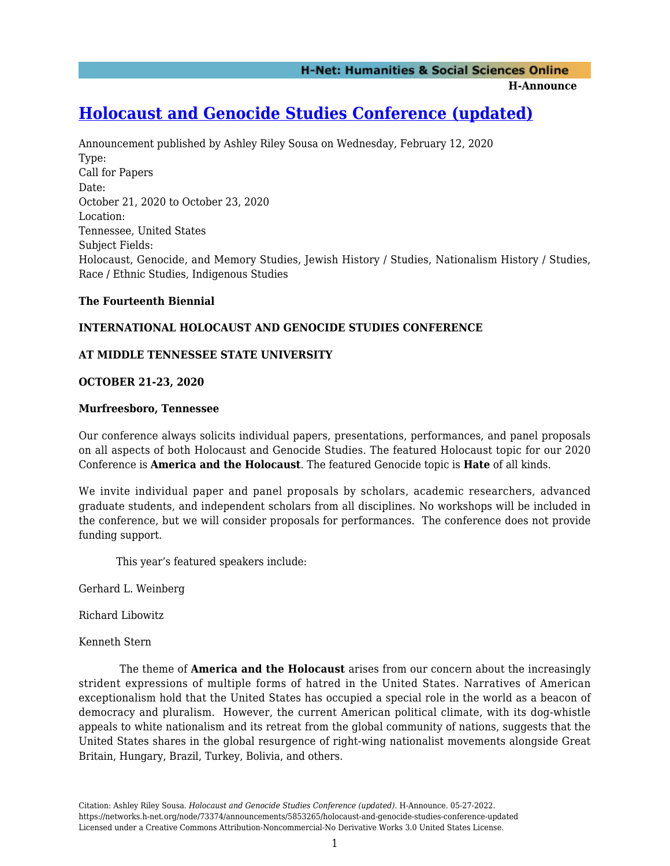**H-Announce** 

# **[Holocaust and Genocide Studies Conference \(updated\)](https://networks.h-net.org/node/73374/announcements/5853265/holocaust-and-genocide-studies-conference-updated)**

Announcement published by Ashley Riley Sousa on Wednesday, February 12, 2020 Type: Call for Papers Date: October 21, 2020 to October 23, 2020 Location: Tennessee, United States Subject Fields: Holocaust, Genocide, and Memory Studies, Jewish History / Studies, Nationalism History / Studies, Race / Ethnic Studies, Indigenous Studies

## **The Fourteenth Biennial**

# **INTERNATIONAL HOLOCAUST AND GENOCIDE STUDIES CONFERENCE**

## **AT MIDDLE TENNESSEE STATE UNIVERSITY**

## **OCTOBER 21-23, 2020**

#### **Murfreesboro, Tennessee**

Our conference always solicits individual papers, presentations, performances, and panel proposals on all aspects of both Holocaust and Genocide Studies. The featured Holocaust topic for our 2020 Conference is **America and the Holocaust**. The featured Genocide topic is **Hate** of all kinds.

We invite individual paper and panel proposals by scholars, academic researchers, advanced graduate students, and independent scholars from all disciplines. No workshops will be included in the conference, but we will consider proposals for performances. The conference does not provide funding support.

This year's featured speakers include:

Gerhard L. Weinberg

Richard Libowitz

Kenneth Stern

 The theme of **America and the Holocaust** arises from our concern about the increasingly strident expressions of multiple forms of hatred in the United States. Narratives of American exceptionalism hold that the United States has occupied a special role in the world as a beacon of democracy and pluralism. However, the current American political climate, with its dog-whistle appeals to white nationalism and its retreat from the global community of nations, suggests that the United States shares in the global resurgence of right-wing nationalist movements alongside Great Britain, Hungary, Brazil, Turkey, Bolivia, and others.